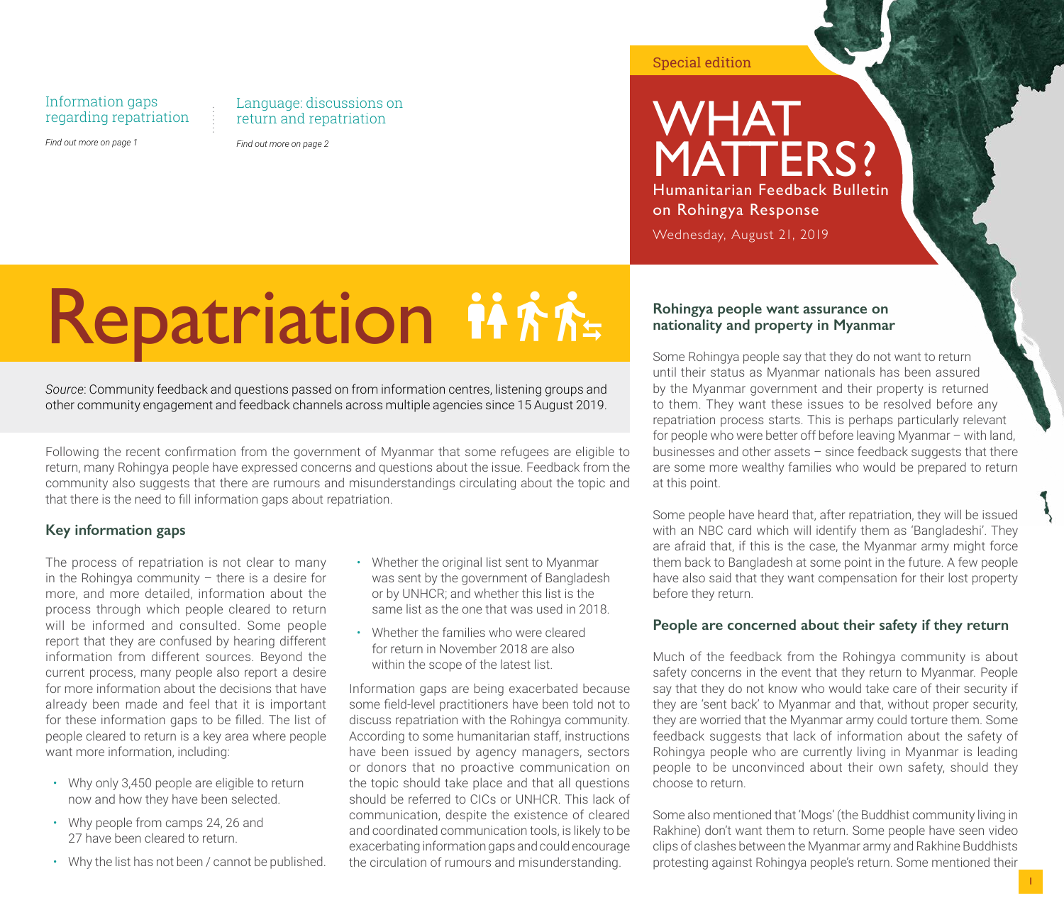#### Information gaps regarding repatriation

*Find out more on page 1*

Language: discussions on return and repatriation

*Find out more on page 2*

Special edition

### WHAT. MATTERS? Humanitarian Feedback Bulletin on Rohingya Response

Wednesday, August 21, 2019

# Repatriation ii fit.

*Source*: Community feedback and questions passed on from information centres, listening groups and other community engagement and feedback channels across multiple agencies since 15 August 2019.

Following the recent confirmation from the government of Myanmar that some refugees are eligible to return, many Rohingya people have expressed concerns and questions about the issue. Feedback from the community also suggests that there are rumours and misunderstandings circulating about the topic and that there is the need to fill information gaps about repatriation.

#### **Key information gaps**

The process of repatriation is not clear to many in the Rohingya community – there is a desire for more, and more detailed, information about the process through which people cleared to return will be informed and consulted. Some people report that they are confused by hearing different information from different sources. Beyond the current process, many people also report a desire for more information about the decisions that have already been made and feel that it is important for these information gaps to be filled. The list of people cleared to return is a key area where people want more information, including:

- Why only 3,450 people are eligible to return now and how they have been selected.
- Why people from camps 24, 26 and 27 have been cleared to return.
- Why the list has not been / cannot be published.
- Whether the original list sent to Myanmar was sent by the government of Bangladesh or by UNHCR; and whether this list is the same list as the one that was used in 2018.
- Whether the families who were cleared for return in November 2018 are also within the scope of the latest list.

Information gaps are being exacerbated because some field-level practitioners have been told not to discuss repatriation with the Rohingya community. According to some humanitarian staff, instructions have been issued by agency managers, sectors or donors that no proactive communication on the topic should take place and that all questions should be referred to CICs or UNHCR. This lack of communication, despite the existence of cleared and coordinated communication tools, is likely to be exacerbating information gaps and could encourage the circulation of rumours and misunderstanding.

#### **Rohingya people want assurance on nationality and property in Myanmar**

Some Rohingya people say that they do not want to return until their status as Myanmar nationals has been assured by the Myanmar government and their property is returned to them. They want these issues to be resolved before any repatriation process starts. This is perhaps particularly relevant for people who were better off before leaving Myanmar – with land, businesses and other assets – since feedback suggests that there are some more wealthy families who would be prepared to return at this point.

Some people have heard that, after repatriation, they will be issued with an NBC card which will identify them as 'Bangladeshi'. They are afraid that, if this is the case, the Myanmar army might force them back to Bangladesh at some point in the future. A few people have also said that they want compensation for their lost property before they return.

#### **People are concerned about their safety if they return**

Much of the feedback from the Rohingya community is about safety concerns in the event that they return to Myanmar. People say that they do not know who would take care of their security if they are 'sent back' to Myanmar and that, without proper security, they are worried that the Myanmar army could torture them. Some feedback suggests that lack of information about the safety of Rohingya people who are currently living in Myanmar is leading people to be unconvinced about their own safety, should they choose to return.

Some also mentioned that 'Mogs' (the Buddhist community living in Rakhine) don't want them to return. Some people have seen video clips of clashes between the Myanmar army and Rakhine Buddhists protesting against Rohingya people's return. Some mentioned their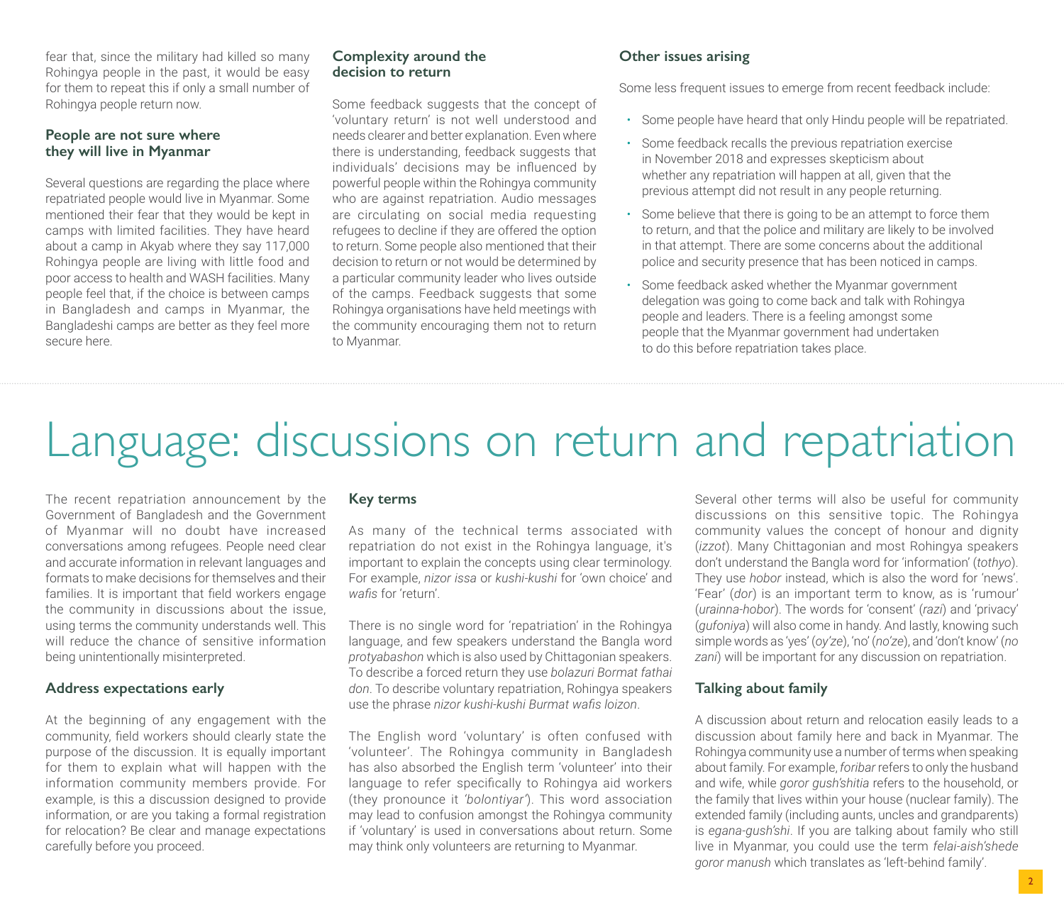fear that, since the military had killed so many Rohingya people in the past, it would be easy for them to repeat this if only a small number of Rohingya people return now.

#### **People are not sure where they will live in Myanmar**

Several questions are regarding the place where repatriated people would live in Myanmar. Some mentioned their fear that they would be kept in camps with limited facilities. They have heard about a camp in Akyab where they say 117,000 Rohingya people are living with little food and poor access to health and WASH facilities. Many people feel that, if the choice is between camps in Bangladesh and camps in Myanmar, the Bangladeshi camps are better as they feel more secure here.

#### **Complexity around the decision to return**

Some feedback suggests that the concept of 'voluntary return' is not well understood and needs clearer and better explanation. Even where there is understanding, feedback suggests that individuals' decisions may be influenced by powerful people within the Rohingya community who are against repatriation. Audio messages are circulating on social media requesting refugees to decline if they are offered the option to return. Some people also mentioned that their decision to return or not would be determined by a particular community leader who lives outside of the camps. Feedback suggests that some Rohingya organisations have held meetings with the community encouraging them not to return to Myanmar.

#### **Other issues arising**

Some less frequent issues to emerge from recent feedback include:

- Some people have heard that only Hindu people will be repatriated.
- Some feedback recalls the previous repatriation exercise in November 2018 and expresses skepticism about whether any repatriation will happen at all, given that the previous attempt did not result in any people returning.
- Some believe that there is going to be an attempt to force them to return, and that the police and military are likely to be involved in that attempt. There are some concerns about the additional police and security presence that has been noticed in camps.
- Some feedback asked whether the Myanmar government delegation was going to come back and talk with Rohingya people and leaders. There is a feeling amongst some people that the Myanmar government had undertaken to do this before repatriation takes place.

## Language: discussions on return and repatriation

The recent repatriation announcement by the Government of Bangladesh and the Government of Myanmar will no doubt have increased conversations among refugees. People need clear and accurate information in relevant languages and formats to make decisions for themselves and their families. It is important that field workers engage the community in discussions about the issue, using terms the community understands well. This will reduce the chance of sensitive information being unintentionally misinterpreted.

#### **Address expectations early**

At the beginning of any engagement with the community, field workers should clearly state the purpose of the discussion. It is equally important for them to explain what will happen with the information community members provide. For example, is this a discussion designed to provide information, or are you taking a formal registration for relocation? Be clear and manage expectations carefully before you proceed.

#### **Key terms**

As many of the technical terms associated with repatriation do not exist in the Rohingya language, it's important to explain the concepts using clear terminology. For example, *nizor issa* or *kushi-kushi* for 'own choice' and *wafis* for 'return'.

There is no single word for 'repatriation' in the Rohingya language, and few speakers understand the Bangla word *protyabashon* which is also used by Chittagonian speakers. To describe a forced return they use *bolazuri Bormat fathai don*. To describe voluntary repatriation, Rohingya speakers use the phrase *nizor kushi-kushi Burmat wafis loizon*.

The English word 'voluntary' is often confused with 'volunteer'. The Rohingya community in Bangladesh has also absorbed the English term 'volunteer' into their language to refer specifically to Rohingya aid workers (they pronounce it *'bolontiyar'*). This word association may lead to confusion amongst the Rohingya community if 'voluntary' is used in conversations about return. Some may think only volunteers are returning to Myanmar.

Several other terms will also be useful for community discussions on this sensitive topic. The Rohingya community values the concept of honour and dignity (*izzot*). Many Chittagonian and most Rohingya speakers don't understand the Bangla word for 'information' (*tothyo*). They use *hobor* instead, which is also the word for 'news'. 'Fear' (*dor*) is an important term to know, as is 'rumour' (*urainna-hobor*). The words for 'consent' (*razi*) and 'privacy' (*gufoniya*) will also come in handy. And lastly, knowing such simple words as 'yes' (*oy'ze*), 'no' (*no'ze*), and 'don't know' (*no zani*) will be important for any discussion on repatriation.

#### **Talking about family**

A discussion about return and relocation easily leads to a discussion about family here and back in Myanmar. The Rohingya community use a number of terms when speaking about family. For example, *foribar* refers to only the husband and wife, while *goror gush'shitia* refers to the household, or the family that lives within your house (nuclear family). The extended family (including aunts, uncles and grandparents) is *egana-gush'shi*. If you are talking about family who still live in Myanmar, you could use the term *felai-aish'shede goror manush* which translates as 'left-behind family'.